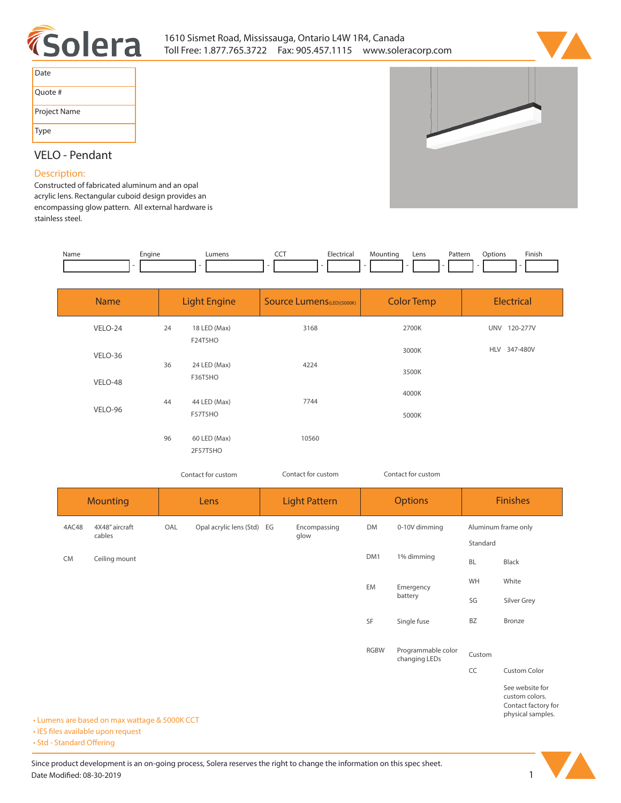



| Date         |
|--------------|
| Quote #      |
| Project Name |
| Type         |

# **VELO - Pendant**

## **Description:**

**Constructed of fabricated aluminum and an opal acrylic lens. Rectangular cuboid design provides an encompassing glow pattern. All external hardware is stainless steel.** 

| Name | Engine | _umen <sup>.</sup> | ---<br>$\sim$ $\sim$ | `lectrica <sub>l</sub><br>. | Mountina | Lens | Patterr<br>. | Jotions | Finisi |
|------|--------|--------------------|----------------------|-----------------------------|----------|------|--------------|---------|--------|
|      |        |                    |                      |                             |          |      |              |         |        |

| <b>Name</b> |    | <b>Light Engine</b>      | <b>Source Lumens</b> (LED)(5000K) | <b>Color Temp</b> | <b>Electrical</b> |
|-------------|----|--------------------------|-----------------------------------|-------------------|-------------------|
| VELO-24     | 24 | 18 LED (Max)<br>F24T5HO  | 3168                              | 2700K             | UNV 120-277V      |
| VELO-36     |    |                          |                                   | 3000K             | HLV 347-480V      |
| VELO-48     | 36 | 24 LED (Max)<br>F36T5HO  | 4224                              | 3500K             |                   |
|             | 44 | 44 LED (Max)             | 7744                              | 4000K             |                   |
| VELO-96     |    | F57T5HO                  |                                   | 5000K             |                   |
|             | 96 | 60 LED (Max)<br>2F57T5HO | 10560                             |                   |                   |

*Contact for custom Contact for custom*

*Contact for custom*

| <b>Mounting</b> |                                               | Lens |                            | <b>Light Pattern</b> |                      | <b>Options</b> |                                     | <b>Finishes</b>     |                                                                               |  |
|-----------------|-----------------------------------------------|------|----------------------------|----------------------|----------------------|----------------|-------------------------------------|---------------------|-------------------------------------------------------------------------------|--|
| 4AC48           | 4X48" aircraft<br>cables                      | OAL  | Opal acrylic lens (Std) EG |                      | Encompassing<br>glow | DM             | 0-10V dimming                       | Aluminum frame only |                                                                               |  |
|                 |                                               |      |                            |                      |                      |                |                                     | Standard            |                                                                               |  |
| <b>CM</b>       | Ceiling mount                                 |      |                            |                      |                      | DM1            | 1% dimming                          | <b>BL</b>           | Black                                                                         |  |
|                 |                                               |      |                            |                      |                      | EM             | Emergency<br>battery                | WH                  | White                                                                         |  |
|                 |                                               |      |                            |                      |                      |                |                                     | SG                  | Silver Grey                                                                   |  |
|                 |                                               |      |                            |                      |                      | SF             | Single fuse                         | <b>BZ</b>           | Bronze                                                                        |  |
|                 |                                               |      |                            |                      |                      | <b>RGBW</b>    | Programmable color<br>changing LEDs | Custom              |                                                                               |  |
|                 |                                               |      |                            |                      |                      |                |                                     | CC                  | Custom Color                                                                  |  |
|                 | • Lumens are based on max wattage & 5000K CCT |      |                            |                      |                      |                |                                     |                     | See website for<br>custom colors.<br>Contact factory for<br>physical samples. |  |

**• IES files available upon request** 

• Std - Standard Offering

Since product development is an on-going process, Solera reserves the right to change the information on this spec sheet. **Date Modified: 08-30-2019** 1